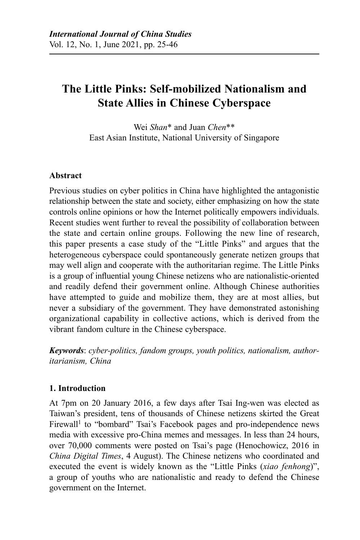# **The Little Pinks: Self-mobilized Nationalism and State Allies in Chinese Cyberspace**

Wei *Shan*\* and Juan *Chen*\*\* East Asian Institute, National University of Singapore

## **Abstract**

Previous studies on cyber politics in China have highlighted the antagonistic relationship between the state and society, either emphasizing on how the state controls online opinions or how the Internet politically empowers individuals. Recent studies went further to reveal the possibility of collaboration between the state and certain online groups. Following the new line of research, this paper presents a case study of the "Little Pinks" and argues that the heterogeneous cyberspace could spontaneously generate netizen groups that may well align and cooperate with the authoritarian regime. The Little Pinks is a group of influential young Chinese netizens who are nationalistic-oriented and readily defend their government online. Although Chinese authorities have attempted to guide and mobilize them, they are at most allies, but never a subsidiary of the government. They have demonstrated astonishing organizational capability in collective actions, which is derived from the vibrant fandom culture in the Chinese cyberspace.

*Keywords*: *cyber-politics, fandom groups, youth politics, nationalism, authoritarianism, China*

## **1. Introduction**

At 7pm on 20 January 2016, a few days after Tsai Ing-wen was elected as Taiwan's president, tens of thousands of Chinese netizens skirted the Great Firewall<sup>1</sup> to "bombard" Tsai's Facebook pages and pro-independence news media with excessive pro-China memes and messages. In less than 24 hours, over 70,000 comments were posted on Tsai's page (Henochowicz, 2016 in *China Digital Times*, 4 August). The Chinese netizens who coordinated and executed the event is widely known as the "Little Pinks (*xiao fenhong*)", a group of youths who are nationalistic and ready to defend the Chinese government on the Internet.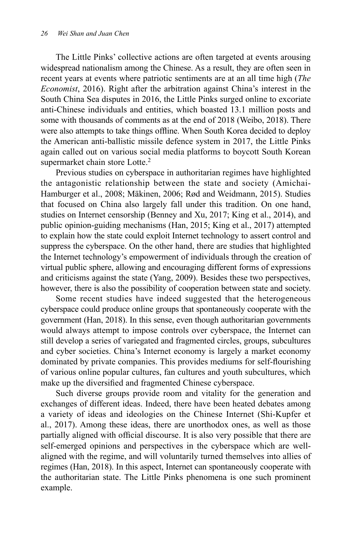The Little Pinks' collective actions are often targeted at events arousing widespread nationalism among the Chinese. As a result, they are often seen in recent years at events where patriotic sentiments are at an all time high (*The Economist*, 2016). Right after the arbitration against China's interest in the South China Sea disputes in 2016, the Little Pinks surged online to excoriate anti-Chinese individuals and entities, which boasted 13.1 million posts and some with thousands of comments as at the end of 2018 (Weibo, 2018). There were also attempts to take things offline. When South Korea decided to deploy the American anti-ballistic missile defence system in 2017, the Little Pinks again called out on various social media platforms to boycott South Korean supermarket chain store Lotte.<sup>2</sup>

Previous studies on cyberspace in authoritarian regimes have highlighted the antagonistic relationship between the state and society (Amichai-Hamburger et al., 2008; Mäkinen, 2006; Rød and Weidmann, 2015). Studies that focused on China also largely fall under this tradition. On one hand, studies on Internet censorship (Benney and Xu, 2017; King et al., 2014), and public opinion-guiding mechanisms (Han, 2015; King et al., 2017) attempted to explain how the state could exploit Internet technology to assert control and suppress the cyberspace. On the other hand, there are studies that highlighted the Internet technology's empowerment of individuals through the creation of virtual public sphere, allowing and encouraging different forms of expressions and criticisms against the state (Yang, 2009). Besides these two perspectives, however, there is also the possibility of cooperation between state and society.

Some recent studies have indeed suggested that the heterogeneous cyberspace could produce online groups that spontaneously cooperate with the government (Han, 2018). In this sense, even though authoritarian governments would always attempt to impose controls over cyberspace, the Internet can still develop a series of variegated and fragmented circles, groups, subcultures and cyber societies. China's Internet economy is largely a market economy dominated by private companies. This provides mediums for self-flourishing of various online popular cultures, fan cultures and youth subcultures, which make up the diversified and fragmented Chinese cyberspace.

Such diverse groups provide room and vitality for the generation and exchanges of different ideas. Indeed, there have been heated debates among a variety of ideas and ideologies on the Chinese Internet (Shi-Kupfer et al., 2017). Among these ideas, there are unorthodox ones, as well as those partially aligned with official discourse. It is also very possible that there are self-emerged opinions and perspectives in the cyberspace which are wellaligned with the regime, and will voluntarily turned themselves into allies of regimes (Han, 2018). In this aspect, Internet can spontaneously cooperate with the authoritarian state. The Little Pinks phenomena is one such prominent example.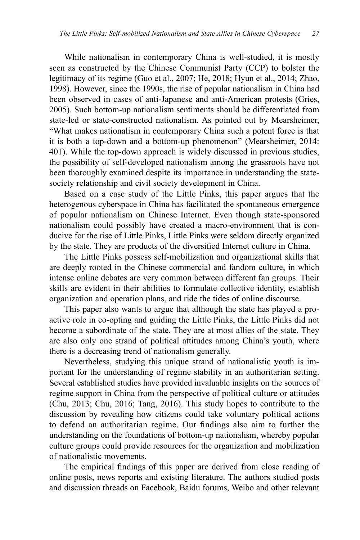While nationalism in contemporary China is well-studied, it is mostly seen as constructed by the Chinese Communist Party (CCP) to bolster the legitimacy of its regime (Guo et al., 2007; He, 2018; Hyun et al., 2014; Zhao, 1998). However, since the 1990s, the rise of popular nationalism in China had been observed in cases of anti-Japanese and anti-American protests (Gries, 2005). Such bottom-up nationalism sentiments should be differentiated from state-led or state-constructed nationalism. As pointed out by Mearsheimer, "What makes nationalism in contemporary China such a potent force is that it is both a top-down and a bottom-up phenomenon" (Mearsheimer, 2014: 401). While the top-down approach is widely discussed in previous studies, the possibility of self-developed nationalism among the grassroots have not been thoroughly examined despite its importance in understanding the statesociety relationship and civil society development in China.

Based on a case study of the Little Pinks, this paper argues that the heterogenous cyberspace in China has facilitated the spontaneous emergence of popular nationalism on Chinese Internet. Even though state-sponsored nationalism could possibly have created a macro-environment that is conducive for the rise of Little Pinks, Little Pinks were seldom directly organized by the state. They are products of the diversified Internet culture in China.

The Little Pinks possess self-mobilization and organizational skills that are deeply rooted in the Chinese commercial and fandom culture, in which intense online debates are very common between different fan groups. Their skills are evident in their abilities to formulate collective identity, establish organization and operation plans, and ride the tides of online discourse.

This paper also wants to argue that although the state has played a proactive role in co-opting and guiding the Little Pinks, the Little Pinks did not become a subordinate of the state. They are at most allies of the state. They are also only one strand of political attitudes among China's youth, where there is a decreasing trend of nationalism generally.

Nevertheless, studying this unique strand of nationalistic youth is important for the understanding of regime stability in an authoritarian setting. Several established studies have provided invaluable insights on the sources of regime support in China from the perspective of political culture or attitudes (Chu, 2013; Chu, 2016; Tang, 2016). This study hopes to contribute to the discussion by revealing how citizens could take voluntary political actions to defend an authoritarian regime. Our findings also aim to further the understanding on the foundations of bottom-up nationalism, whereby popular culture groups could provide resources for the organization and mobilization of nationalistic movements.

The empirical findings of this paper are derived from close reading of online posts, news reports and existing literature. The authors studied posts and discussion threads on Facebook, Baidu forums, Weibo and other relevant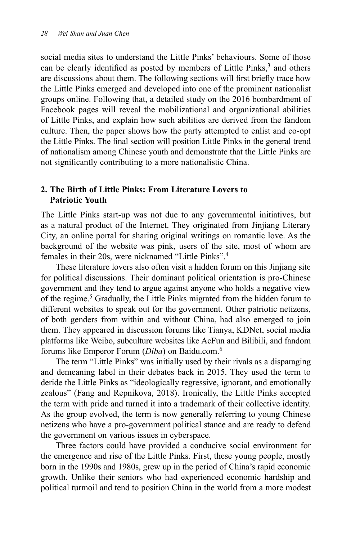social media sites to understand the Little Pinks' behaviours. Some of those can be clearly identified as posted by members of Little Pinks,<sup>3</sup> and others are discussions about them. The following sections will first briefly trace how the Little Pinks emerged and developed into one of the prominent nationalist groups online. Following that, a detailed study on the 2016 bombardment of Facebook pages will reveal the mobilizational and organizational abilities of Little Pinks, and explain how such abilities are derived from the fandom culture. Then, the paper shows how the party attempted to enlist and co-opt the Little Pinks. The final section will position Little Pinks in the general trend of nationalism among Chinese youth and demonstrate that the Little Pinks are not significantly contributing to a more nationalistic China.

### **2. The Birth of Little Pinks: From Literature Lovers to Patriotic Youth**

The Little Pinks start-up was not due to any governmental initiatives, but as a natural product of the Internet. They originated from Jinjiang Literary City, an online portal for sharing original writings on romantic love. As the background of the website was pink, users of the site, most of whom are females in their 20s, were nicknamed "Little Pinks".4

These literature lovers also often visit a hidden forum on this Jinjiang site for political discussions. Their dominant political orientation is pro-Chinese government and they tend to argue against anyone who holds a negative view of the regime.<sup>5</sup> Gradually, the Little Pinks migrated from the hidden forum to different websites to speak out for the government. Other patriotic netizens, of both genders from within and without China, had also emerged to join them. They appeared in discussion forums like Tianya, KDNet, social media platforms like Weibo, subculture websites like AcFun and Bilibili, and fandom forums like Emperor Forum (*Diba*) on Baidu.com.6

The term "Little Pinks" was initially used by their rivals as a disparaging and demeaning label in their debates back in 2015. They used the term to deride the Little Pinks as "ideologically regressive, ignorant, and emotionally zealous" (Fang and Repnikova, 2018). Ironically, the Little Pinks accepted the term with pride and turned it into a trademark of their collective identity. As the group evolved, the term is now generally referring to young Chinese netizens who have a pro-government political stance and are ready to defend the government on various issues in cyberspace.

Three factors could have provided a conducive social environment for the emergence and rise of the Little Pinks. First, these young people, mostly born in the 1990s and 1980s, grew up in the period of China's rapid economic growth. Unlike their seniors who had experienced economic hardship and political turmoil and tend to position China in the world from a more modest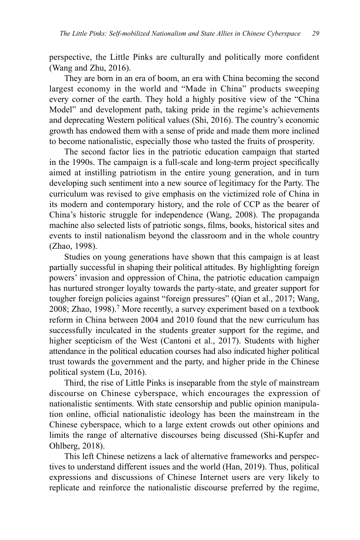perspective, the Little Pinks are culturally and politically more confident (Wang and Zhu, 2016).

They are born in an era of boom, an era with China becoming the second largest economy in the world and "Made in China" products sweeping every corner of the earth. They hold a highly positive view of the "China Model" and development path, taking pride in the regime's achievements and deprecating Western political values (Shi, 2016). The country's economic growth has endowed them with a sense of pride and made them more inclined to become nationalistic, especially those who tasted the fruits of prosperity.

The second factor lies in the patriotic education campaign that started in the 1990s. The campaign is a full-scale and long-term project specifically aimed at instilling patriotism in the entire young generation, and in turn developing such sentiment into a new source of legitimacy for the Party. The curriculum was revised to give emphasis on the victimized role of China in its modern and contemporary history, and the role of CCP as the bearer of China's historic struggle for independence (Wang, 2008). The propaganda machine also selected lists of patriotic songs, films, books, historical sites and events to instil nationalism beyond the classroom and in the whole country (Zhao, 1998).

Studies on young generations have shown that this campaign is at least partially successful in shaping their political attitudes. By highlighting foreign powers' invasion and oppression of China, the patriotic education campaign has nurtured stronger loyalty towards the party-state, and greater support for tougher foreign policies against "foreign pressures" (Qian et al., 2017; Wang, 2008; Zhao, 1998).<sup>7</sup> More recently, a survey experiment based on a textbook reform in China between 2004 and 2010 found that the new curriculum has successfully inculcated in the students greater support for the regime, and higher scepticism of the West (Cantoni et al., 2017). Students with higher attendance in the political education courses had also indicated higher political trust towards the government and the party, and higher pride in the Chinese political system (Lu, 2016).

Third, the rise of Little Pinks is inseparable from the style of mainstream discourse on Chinese cyberspace, which encourages the expression of nationalistic sentiments. With state censorship and public opinion manipulation online, official nationalistic ideology has been the mainstream in the Chinese cyberspace, which to a large extent crowds out other opinions and limits the range of alternative discourses being discussed (Shi-Kupfer and Ohlberg, 2018).

This left Chinese netizens a lack of alternative frameworks and perspectives to understand different issues and the world (Han, 2019). Thus, political expressions and discussions of Chinese Internet users are very likely to replicate and reinforce the nationalistic discourse preferred by the regime,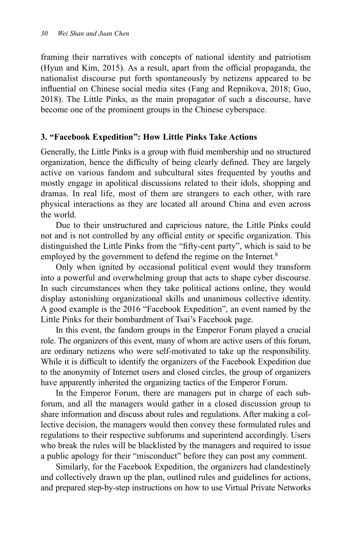framing their narratives with concepts of national identity and patriotism (Hyun and Kim, 2015). As a result, apart from the official propaganda, the nationalist discourse put forth spontaneously by netizens appeared to be influential on Chinese social media sites (Fang and Repnikova, 2018; Guo, 2018). The Little Pinks, as the main propagator of such a discourse, have become one of the prominent groups in the Chinese cyberspace.

#### **3. "Facebook Expedition": How Little Pinks Take Actions**

Generally, the Little Pinks is a group with fluid membership and no structured organization, hence the difficulty of being clearly defined. They are largely active on various fandom and subcultural sites frequented by youths and mostly engage in apolitical discussions related to their idols, shopping and dramas. In real life, most of them are strangers to each other, with rare physical interactions as they are located all around China and even across the world.

Due to their unstructured and capricious nature, the Little Pinks could not and is not controlled by any official entity or specific organization. This distinguished the Little Pinks from the "fifty-cent party", which is said to be employed by the government to defend the regime on the Internet.<sup>8</sup>

Only when ignited by occasional political event would they transform into a powerful and overwhelming group that acts to shape cyber discourse. In such circumstances when they take political actions online, they would display astonishing organizational skills and unanimous collective identity. A good example is the 2016 "Facebook Expedition", an event named by the Little Pinks for their bombardment of Tsai's Facebook page.

In this event, the fandom groups in the Emperor Forum played a crucial role. The organizers of this event, many of whom are active users of this forum, are ordinary netizens who were self-motivated to take up the responsibility. While it is difficult to identify the organizers of the Facebook Expedition due to the anonymity of Internet users and closed circles, the group of organizers have apparently inherited the organizing tactics of the Emperor Forum.

In the Emperor Forum, there are managers put in charge of each subforum, and all the managers would gather in a closed discussion group to share information and discuss about rules and regulations. After making a collective decision, the managers would then convey these formulated rules and regulations to their respective subforums and superintend accordingly. Users who break the rules will be blacklisted by the managers and required to issue a public apology for their "misconduct" before they can post any comment.

Similarly, for the Facebook Expedition, the organizers had clandestinely and collectively drawn up the plan, outlined rules and guidelines for actions, and prepared step-by-step instructions on how to use Virtual Private Networks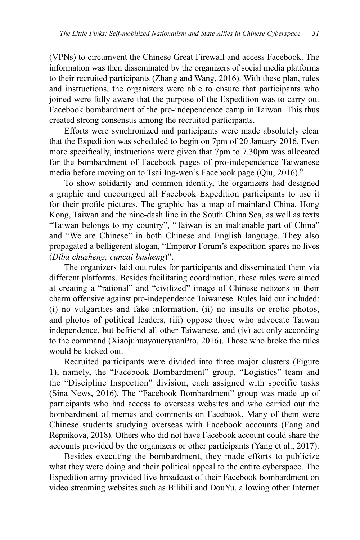(VPNs) to circumvent the Chinese Great Firewall and access Facebook. The information was then disseminated by the organizers of social media platforms to their recruited participants (Zhang and Wang, 2016). With these plan, rules and instructions, the organizers were able to ensure that participants who joined were fully aware that the purpose of the Expedition was to carry out Facebook bombardment of the pro-independence camp in Taiwan. This thus created strong consensus among the recruited participants.

Efforts were synchronized and participants were made absolutely clear that the Expedition was scheduled to begin on 7pm of 20 January 2016. Even more specifically, instructions were given that 7pm to 7.30pm was allocated for the bombardment of Facebook pages of pro-independence Taiwanese media before moving on to Tsai Ing-wen's Facebook page (Qiu, 2016).<sup>9</sup>

To show solidarity and common identity, the organizers had designed a graphic and encouraged all Facebook Expedition participants to use it for their profile pictures. The graphic has a map of mainland China, Hong Kong, Taiwan and the nine-dash line in the South China Sea, as well as texts "Taiwan belongs to my country", "Taiwan is an inalienable part of China" and "We are Chinese" in both Chinese and English language. They also propagated a belligerent slogan, "Emperor Forum's expedition spares no lives (*Diba chuzheng, cuncai busheng*)".

The organizers laid out rules for participants and disseminated them via different platforms. Besides facilitating coordination, these rules were aimed at creating a "rational" and "civilized" image of Chinese netizens in their charm offensive against pro-independence Taiwanese. Rules laid out included: (i) no vulgarities and fake information, (ii) no insults or erotic photos, and photos of political leaders, (iii) oppose those who advocate Taiwan independence, but befriend all other Taiwanese, and (iv) act only according to the command (XiaojuhuayoueryuanPro, 2016). Those who broke the rules would be kicked out.

Recruited participants were divided into three major clusters (Figure 1), namely, the "Facebook Bombardment" group, "Logistics" team and the "Discipline Inspection" division, each assigned with specific tasks (Sina News, 2016). The "Facebook Bombardment" group was made up of participants who had access to overseas websites and who carried out the bombardment of memes and comments on Facebook. Many of them were Chinese students studying overseas with Facebook accounts (Fang and Repnikova, 2018). Others who did not have Facebook account could share the accounts provided by the organizers or other participants (Yang et al., 2017).

Besides executing the bombardment, they made efforts to publicize what they were doing and their political appeal to the entire cyberspace. The Expedition army provided live broadcast of their Facebook bombardment on video streaming websites such as Bilibili and DouYu, allowing other Internet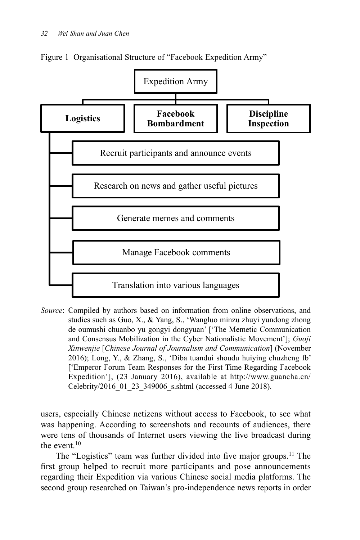

Figure 1 Organisational Structure of "Facebook Expedition Army"

*Source*: Compiled by authors based on information from online observations, and studies such as Guo, X., & Yang, S., 'Wangluo minzu zhuyi yundong zhong de oumushi chuanbo yu gongyi dongyuan' ['The Memetic Communication and Consensus Mobilization in the Cyber Nationalistic Movement']; *Guoji Xinwenjie* [*Chinese Journal of Journalism and Communication*] (November 2016); Long, Y., & Zhang, S., 'Diba tuandui shoudu huiying chuzheng fb' ['Emperor Forum Team Responses for the First Time Regarding Facebook Expedition'], (23 January 2016), available at http://www.guancha.cn/ Celebrity/2016\_01\_23\_349006\_s.shtml (accessed 4 June 2018).

users, especially Chinese netizens without access to Facebook, to see what was happening. According to screenshots and recounts of audiences, there were tens of thousands of Internet users viewing the live broadcast during the event  $10$ 

The "Logistics" team was further divided into five major groups.<sup>11</sup> The first group helped to recruit more participants and pose announcements regarding their Expedition via various Chinese social media platforms. The second group researched on Taiwan's pro-independence news reports in order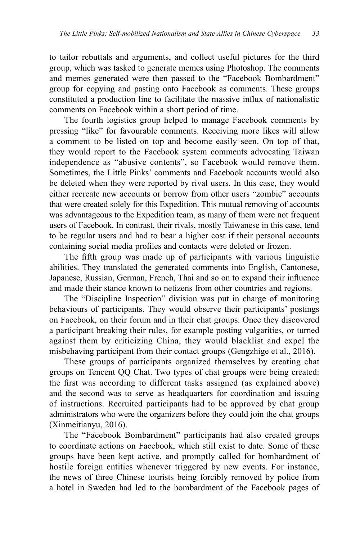to tailor rebuttals and arguments, and collect useful pictures for the third group, which was tasked to generate memes using Photoshop. The comments and memes generated were then passed to the "Facebook Bombardment" group for copying and pasting onto Facebook as comments. These groups constituted a production line to facilitate the massive influx of nationalistic comments on Facebook within a short period of time.

The fourth logistics group helped to manage Facebook comments by pressing "like" for favourable comments. Receiving more likes will allow a comment to be listed on top and become easily seen. On top of that, they would report to the Facebook system comments advocating Taiwan independence as "abusive contents", so Facebook would remove them. Sometimes, the Little Pinks' comments and Facebook accounts would also be deleted when they were reported by rival users. In this case, they would either recreate new accounts or borrow from other users "zombie" accounts that were created solely for this Expedition. This mutual removing of accounts was advantageous to the Expedition team, as many of them were not frequent users of Facebook. In contrast, their rivals, mostly Taiwanese in this case, tend to be regular users and had to bear a higher cost if their personal accounts containing social media profiles and contacts were deleted or frozen.

The fifth group was made up of participants with various linguistic abilities. They translated the generated comments into English, Cantonese, Japanese, Russian, German, French, Thai and so on to expand their influence and made their stance known to netizens from other countries and regions.

The "Discipline Inspection" division was put in charge of monitoring behaviours of participants. They would observe their participants' postings on Facebook, on their forum and in their chat groups. Once they discovered a participant breaking their rules, for example posting vulgarities, or turned against them by criticizing China, they would blacklist and expel the misbehaving participant from their contact groups (Gengzhige et al., 2016).

These groups of participants organized themselves by creating chat groups on Tencent QQ Chat. Two types of chat groups were being created: the first was according to different tasks assigned (as explained above) and the second was to serve as headquarters for coordination and issuing of instructions. Recruited participants had to be approved by chat group administrators who were the organizers before they could join the chat groups (Xinmeitianyu, 2016).

The "Facebook Bombardment" participants had also created groups to coordinate actions on Facebook, which still exist to date. Some of these groups have been kept active, and promptly called for bombardment of hostile foreign entities whenever triggered by new events. For instance, the news of three Chinese tourists being forcibly removed by police from a hotel in Sweden had led to the bombardment of the Facebook pages of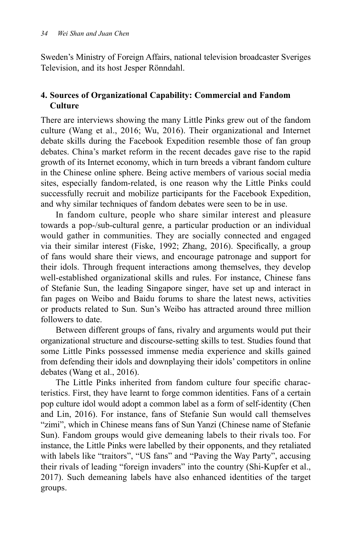Sweden's Ministry of Foreign Affairs, national television broadcaster Sveriges Television, and its host Jesper Rönndahl.

# **4. Sources of Organizational Capability: Commercial and Fandom Culture**

There are interviews showing the many Little Pinks grew out of the fandom culture (Wang et al., 2016; Wu, 2016). Their organizational and Internet debate skills during the Facebook Expedition resemble those of fan group debates. China's market reform in the recent decades gave rise to the rapid growth of its Internet economy, which in turn breeds a vibrant fandom culture in the Chinese online sphere. Being active members of various social media sites, especially fandom-related, is one reason why the Little Pinks could successfully recruit and mobilize participants for the Facebook Expedition, and why similar techniques of fandom debates were seen to be in use.

In fandom culture, people who share similar interest and pleasure towards a pop-/sub-cultural genre, a particular production or an individual would gather in communities. They are socially connected and engaged via their similar interest (Fiske, 1992; Zhang, 2016). Specifically, a group of fans would share their views, and encourage patronage and support for their idols. Through frequent interactions among themselves, they develop well-established organizational skills and rules. For instance, Chinese fans of Stefanie Sun, the leading Singapore singer, have set up and interact in fan pages on Weibo and Baidu forums to share the latest news, activities or products related to Sun. Sun's Weibo has attracted around three million followers to date.

Between different groups of fans, rivalry and arguments would put their organizational structure and discourse-setting skills to test. Studies found that some Little Pinks possessed immense media experience and skills gained from defending their idols and downplaying their idols' competitors in online debates (Wang et al., 2016).

The Little Pinks inherited from fandom culture four specific characteristics. First, they have learnt to forge common identities. Fans of a certain pop culture idol would adopt a common label as a form of self-identity (Chen and Lin, 2016). For instance, fans of Stefanie Sun would call themselves "zimi", which in Chinese means fans of Sun Yanzi (Chinese name of Stefanie Sun). Fandom groups would give demeaning labels to their rivals too. For instance, the Little Pinks were labelled by their opponents, and they retaliated with labels like "traitors", "US fans" and "Paving the Way Party", accusing their rivals of leading "foreign invaders" into the country (Shi-Kupfer et al., 2017). Such demeaning labels have also enhanced identities of the target groups.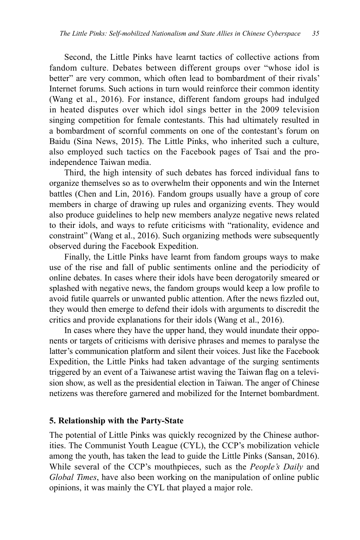Second, the Little Pinks have learnt tactics of collective actions from fandom culture. Debates between different groups over "whose idol is better" are very common, which often lead to bombardment of their rivals' Internet forums. Such actions in turn would reinforce their common identity (Wang et al., 2016). For instance, different fandom groups had indulged in heated disputes over which idol sings better in the 2009 television singing competition for female contestants. This had ultimately resulted in a bombardment of scornful comments on one of the contestant's forum on Baidu (Sina News, 2015). The Little Pinks, who inherited such a culture, also employed such tactics on the Facebook pages of Tsai and the proindependence Taiwan media.

Third, the high intensity of such debates has forced individual fans to organize themselves so as to overwhelm their opponents and win the Internet battles (Chen and Lin, 2016). Fandom groups usually have a group of core members in charge of drawing up rules and organizing events. They would also produce guidelines to help new members analyze negative news related to their idols, and ways to refute criticisms with "rationality, evidence and constraint" (Wang et al., 2016). Such organizing methods were subsequently observed during the Facebook Expedition.

Finally, the Little Pinks have learnt from fandom groups ways to make use of the rise and fall of public sentiments online and the periodicity of online debates. In cases where their idols have been derogatorily smeared or splashed with negative news, the fandom groups would keep a low profile to avoid futile quarrels or unwanted public attention. After the news fizzled out, they would then emerge to defend their idols with arguments to discredit the critics and provide explanations for their idols (Wang et al., 2016).

In cases where they have the upper hand, they would inundate their opponents or targets of criticisms with derisive phrases and memes to paralyse the latter's communication platform and silent their voices. Just like the Facebook Expedition, the Little Pinks had taken advantage of the surging sentiments triggered by an event of a Taiwanese artist waving the Taiwan flag on a television show, as well as the presidential election in Taiwan. The anger of Chinese netizens was therefore garnered and mobilized for the Internet bombardment.

#### **5. Relationship with the Party-State**

The potential of Little Pinks was quickly recognized by the Chinese authorities. The Communist Youth League (CYL), the CCP's mobilization vehicle among the youth, has taken the lead to guide the Little Pinks (Sansan, 2016). While several of the CCP's mouthpieces, such as the *People's Daily* and *Global Times*, have also been working on the manipulation of online public opinions, it was mainly the CYL that played a major role.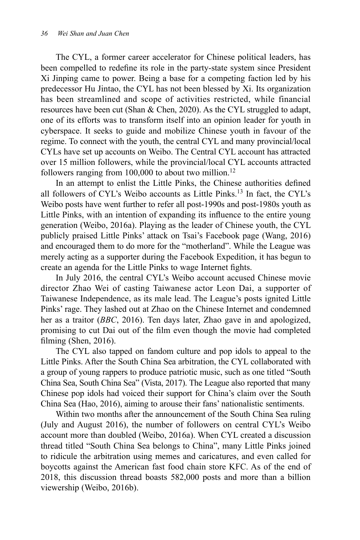The CYL, a former career accelerator for Chinese political leaders, has been compelled to redefine its role in the party-state system since President Xi Jinping came to power. Being a base for a competing faction led by his predecessor Hu Jintao, the CYL has not been blessed by Xi. Its organization has been streamlined and scope of activities restricted, while financial resources have been cut (Shan & Chen, 2020). As the CYL struggled to adapt, one of its efforts was to transform itself into an opinion leader for youth in cyberspace. It seeks to guide and mobilize Chinese youth in favour of the regime. To connect with the youth, the central CYL and many provincial/local CYLs have set up accounts on Weibo. The Central CYL account has attracted over 15 million followers, while the provincial/local CYL accounts attracted followers ranging from  $100,000$  to about two million.<sup>12</sup>

In an attempt to enlist the Little Pinks, the Chinese authorities defined all followers of CYL's Weibo accounts as Little Pinks.13 In fact, the CYL's Weibo posts have went further to refer all post-1990s and post-1980s youth as Little Pinks, with an intention of expanding its influence to the entire young generation (Weibo, 2016a). Playing as the leader of Chinese youth, the CYL publicly praised Little Pinks' attack on Tsai's Facebook page (Wang, 2016) and encouraged them to do more for the "motherland". While the League was merely acting as a supporter during the Facebook Expedition, it has begun to create an agenda for the Little Pinks to wage Internet fights.

In July 2016, the central CYL's Weibo account accused Chinese movie director Zhao Wei of casting Taiwanese actor Leon Dai, a supporter of Taiwanese Independence, as its male lead. The League's posts ignited Little Pinks' rage. They lashed out at Zhao on the Chinese Internet and condemned her as a traitor (*BBC*, 2016). Ten days later, Zhao gave in and apologized, promising to cut Dai out of the film even though the movie had completed filming (Shen, 2016).

The CYL also tapped on fandom culture and pop idols to appeal to the Little Pinks. After the South China Sea arbitration, the CYL collaborated with a group of young rappers to produce patriotic music, such as one titled "South China Sea, South China Sea" (Vista, 2017). The League also reported that many Chinese pop idols had voiced their support for China's claim over the South China Sea (Hao, 2016), aiming to arouse their fans' nationalistic sentiments.

Within two months after the announcement of the South China Sea ruling (July and August 2016), the number of followers on central CYL's Weibo account more than doubled (Weibo, 2016a). When CYL created a discussion thread titled "South China Sea belongs to China", many Little Pinks joined to ridicule the arbitration using memes and caricatures, and even called for boycotts against the American fast food chain store KFC. As of the end of 2018, this discussion thread boasts 582,000 posts and more than a billion viewership (Weibo, 2016b).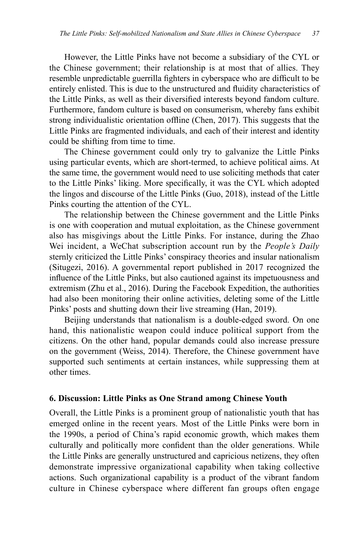However, the Little Pinks have not become a subsidiary of the CYL or the Chinese government; their relationship is at most that of allies. They resemble unpredictable guerrilla fighters in cyberspace who are difficult to be entirely enlisted. This is due to the unstructured and fluidity characteristics of the Little Pinks, as well as their diversified interests beyond fandom culture. Furthermore, fandom culture is based on consumerism, whereby fans exhibit strong individualistic orientation offline (Chen, 2017). This suggests that the Little Pinks are fragmented individuals, and each of their interest and identity could be shifting from time to time.

The Chinese government could only try to galvanize the Little Pinks using particular events, which are short-termed, to achieve political aims. At the same time, the government would need to use soliciting methods that cater to the Little Pinks' liking. More specifically, it was the CYL which adopted the lingos and discourse of the Little Pinks (Guo, 2018), instead of the Little Pinks courting the attention of the CYL.

The relationship between the Chinese government and the Little Pinks is one with cooperation and mutual exploitation, as the Chinese government also has misgivings about the Little Pinks. For instance, during the Zhao Wei incident, a WeChat subscription account run by the *People's Daily*  sternly criticized the Little Pinks' conspiracy theories and insular nationalism (Situgezi, 2016). A governmental report published in 2017 recognized the influence of the Little Pinks, but also cautioned against its impetuousness and extremism (Zhu et al., 2016). During the Facebook Expedition, the authorities had also been monitoring their online activities, deleting some of the Little Pinks' posts and shutting down their live streaming (Han, 2019).

Beijing understands that nationalism is a double-edged sword. On one hand, this nationalistic weapon could induce political support from the citizens. On the other hand, popular demands could also increase pressure on the government (Weiss, 2014). Therefore, the Chinese government have supported such sentiments at certain instances, while suppressing them at other times.

#### **6. Discussion: Little Pinks as One Strand among Chinese Youth**

Overall, the Little Pinks is a prominent group of nationalistic youth that has emerged online in the recent years. Most of the Little Pinks were born in the 1990s, a period of China's rapid economic growth, which makes them culturally and politically more confident than the older generations. While the Little Pinks are generally unstructured and capricious netizens, they often demonstrate impressive organizational capability when taking collective actions. Such organizational capability is a product of the vibrant fandom culture in Chinese cyberspace where different fan groups often engage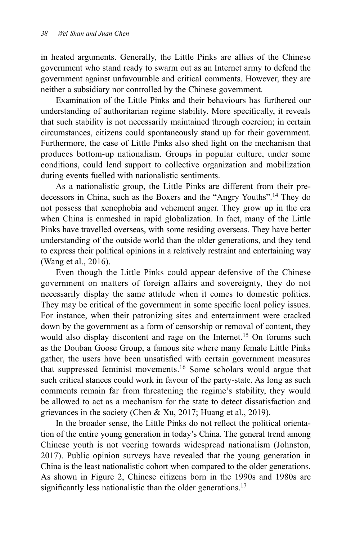in heated arguments. Generally, the Little Pinks are allies of the Chinese government who stand ready to swarm out as an Internet army to defend the government against unfavourable and critical comments. However, they are neither a subsidiary nor controlled by the Chinese government.

Examination of the Little Pinks and their behaviours has furthered our understanding of authoritarian regime stability. More specifically, it reveals that such stability is not necessarily maintained through coercion; in certain circumstances, citizens could spontaneously stand up for their government. Furthermore, the case of Little Pinks also shed light on the mechanism that produces bottom-up nationalism. Groups in popular culture, under some conditions, could lend support to collective organization and mobilization during events fuelled with nationalistic sentiments.

As a nationalistic group, the Little Pinks are different from their predecessors in China, such as the Boxers and the "Angry Youths".14 They do not possess that xenophobia and vehement anger. They grow up in the era when China is enmeshed in rapid globalization. In fact, many of the Little Pinks have travelled overseas, with some residing overseas. They have better understanding of the outside world than the older generations, and they tend to express their political opinions in a relatively restraint and entertaining way (Wang et al., 2016).

Even though the Little Pinks could appear defensive of the Chinese government on matters of foreign affairs and sovereignty, they do not necessarily display the same attitude when it comes to domestic politics. They may be critical of the government in some specific local policy issues. For instance, when their patronizing sites and entertainment were cracked down by the government as a form of censorship or removal of content, they would also display discontent and rage on the Internet.<sup>15</sup> On forums such as the Douban Goose Group, a famous site where many female Little Pinks gather, the users have been unsatisfied with certain government measures that suppressed feminist movements.16 Some scholars would argue that such critical stances could work in favour of the party-state. As long as such comments remain far from threatening the regime's stability, they would be allowed to act as a mechanism for the state to detect dissatisfaction and grievances in the society (Chen & Xu, 2017; Huang et al., 2019).

In the broader sense, the Little Pinks do not reflect the political orientation of the entire young generation in today's China. The general trend among Chinese youth is not veering towards widespread nationalism (Johnston, 2017). Public opinion surveys have revealed that the young generation in China is the least nationalistic cohort when compared to the older generations. As shown in Figure 2, Chinese citizens born in the 1990s and 1980s are significantly less nationalistic than the older generations.<sup>17</sup>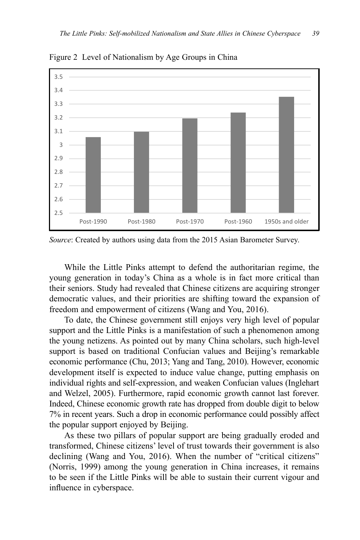

Figure 2 Level of Nationalism by Age Groups in China

*Source*: Created by authors using data from the 2015 Asian Barometer Survey.

While the Little Pinks attempt to defend the authoritarian regime, the young generation in today's China as a whole is in fact more critical than their seniors. Study had revealed that Chinese citizens are acquiring stronger democratic values, and their priorities are shifting toward the expansion of freedom and empowerment of citizens (Wang and You, 2016).

To date, the Chinese government still enjoys very high level of popular support and the Little Pinks is a manifestation of such a phenomenon among the young netizens. As pointed out by many China scholars, such high-level support is based on traditional Confucian values and Beijing's remarkable economic performance (Chu, 2013; Yang and Tang, 2010). However, economic development itself is expected to induce value change, putting emphasis on individual rights and self-expression, and weaken Confucian values (Inglehart and Welzel, 2005). Furthermore, rapid economic growth cannot last forever. Indeed, Chinese economic growth rate has dropped from double digit to below 7% in recent years. Such a drop in economic performance could possibly affect the popular support enjoyed by Beijing.

As these two pillars of popular support are being gradually eroded and transformed, Chinese citizens' level of trust towards their government is also declining (Wang and You, 2016). When the number of "critical citizens" (Norris, 1999) among the young generation in China increases, it remains to be seen if the Little Pinks will be able to sustain their current vigour and influence in cyberspace.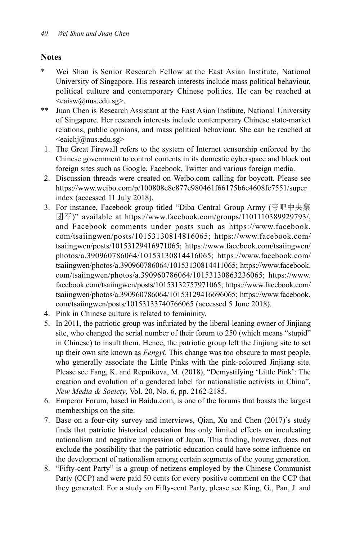# **Notes**

- Wei Shan is Senior Research Fellow at the East Asian Institute, National University of Singapore. His research interests include mass political behaviour, political culture and contemporary Chinese politics. He can be reached at <eaisw@nus.edu.sg>.
- \*\* Juan Chen is Research Assistant at the East Asian Institute, National University of Singapore. Her research interests include contemporary Chinese state-market relations, public opinions, and mass political behaviour. She can be reached at  $\leq$ eaichi $@$ nus.edu.sg $>$
- 1. The Great Firewall refers to the system of Internet censorship enforced by the Chinese government to control contents in its domestic cyberspace and block out foreign sites such as Google, Facebook, Twitter and various foreign media.
- 2. Discussion threads were created on Weibo.com calling for boycott. Please see https://www.weibo.com/p/100808e8c877e980461f66175b6e4608fe7551/super\_ index (accessed 11 July 2018).
- 3. For instance, Facebook group titled "Diba Central Group Army (帝吧中央集 团军)" available at https://www.facebook.com/groups/1101110389929793/, and Facebook comments under posts such as https://www.facebook. com/tsaiingwen/posts/10153130814816065; https://www.facebook.com/ tsaiingwen/posts/10153129416971065; https://www.facebook.com/tsaiingwen/ photos/a.390960786064/10153130814416065; https://www.facebook.com/ tsaiingwen/photos/a.390960786064/10153130814411065; https://www.facebook. com/tsaiingwen/photos/a.390960786064/10153130863236065; https://www. facebook.com/tsaiingwen/posts/10153132757971065; https://www.facebook.com/ tsaiingwen/photos/a.390960786064/10153129416696065; https://www.facebook. com/tsaiingwen/posts/10153133740766065 (accessed 5 June 2018).
- 4. Pink in Chinese culture is related to femininity.
- 5. In 2011, the patriotic group was infuriated by the liberal-leaning owner of Jinjiang site, who changed the serial number of their forum to 250 (which means "stupid" in Chinese) to insult them. Hence, the patriotic group left the Jinjiang site to set up their own site known as *Fengyi*. This change was too obscure to most people, who generally associate the Little Pinks with the pink-coloured Jinjiang site. Please see Fang, K. and Repnikova, M. (2018), "Demystifying 'Little Pink': The creation and evolution of a gendered label for nationalistic activists in China", *New Media & Society*, Vol. 20, No. 6, pp. 2162-2185.
- 6. Emperor Forum, based in Baidu.com, is one of the forums that boasts the largest memberships on the site.
- 7. Base on a four-city survey and interviews, Qian, Xu and Chen (2017)'s study finds that patriotic historical education has only limited effects on inculcating nationalism and negative impression of Japan. This finding, however, does not exclude the possibility that the patriotic education could have some influence on the development of nationalism among certain segments of the young generation.
- 8. "Fifty-cent Party" is a group of netizens employed by the Chinese Communist Party (CCP) and were paid 50 cents for every positive comment on the CCP that they generated. For a study on Fifty-cent Party, please see King, G., Pan, J. and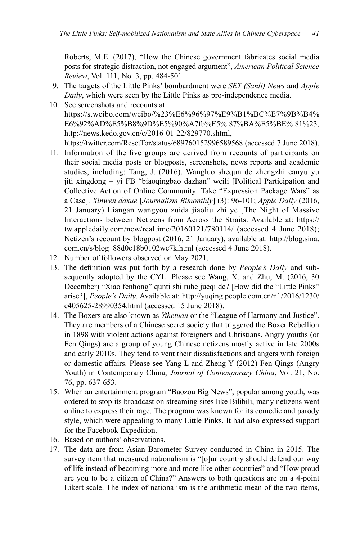Roberts, M.E. (2017), "How the Chinese government fabricates social media posts for strategic distraction, not engaged argument", *American Political Science Review*, Vol. 111, No. 3, pp. 484-501.

- 9. The targets of the Little Pinks' bombardment were *SET (Sanli) News* and *Apple Daily*, which were seen by the Little Pinks as pro-independence media.
- 10. See screenshots and recounts at: https://s.weibo.com/weibo/%23%E6%96%97%E9%B1%BC%E7%9B%B4% E6%92%AD%E5%B8%9D%E5%90%A7fb%E5% 87%BA%E5%BE% 81%23, http://news.kedo.gov.cn/c/2016-01-22/829770.shtml, https://twitter.com/ResetTor/status/689760152996589568 (accessed 7 June 2018).
- 11. Information of the five groups are derived from recounts of participants on their social media posts or blogposts, screenshots, news reports and academic studies, including: Tang, J. (2016), Wangluo shequn de zhengzhi canyu yu jiti xingdong – yi FB "biaoqingbao dazhan" weili [Political Participation and Collective Action of Online Community: Take "Expression Package Wars" as a Case]. *Xinwen daxue* [*Journalism Bimonthly*] (3): 96-101; *Apple Daily* (2016, 21 January) Liangan wangyou zuida jiaoliu zhi ye [The Night of Massive Interactions between Netizens from Across the Straits. Available at: https:// tw.appledaily.com/new/realtime/20160121/780114/ (accessed 4 June 2018); Netizen's recount by blogpost (2016, 21 January), available at: http://blog.sina. com.cn/s/blog\_88d0c18b0102wc7k.html (accessed 4 June 2018).
- 12. Number of followers observed on May 2021.
- 13. The definition was put forth by a research done by *People's Daily* and subsequently adopted by the CYL. Please see Wang, X. and Zhu, M. (2016, 30 December) "Xiao fenhong" qunti shi ruhe jueqi de? [How did the "Little Pinks" arise?], *People's Daily*. Available at: http://yuqing.people.com.cn/n1/2016/1230/ c405625-28990354.html (accessed 15 June 2018).
- 14. The Boxers are also known as *Yihetuan* or the "League of Harmony and Justice". They are members of a Chinese secret society that triggered the Boxer Rebellion in 1898 with violent actions against foreigners and Christians. Angry youths (or Fen Qings) are a group of young Chinese netizens mostly active in late 2000s and early 2010s. They tend to vent their dissatisfactions and angers with foreign or domestic affairs. Please see Yang L and Zheng Y (2012) Fen Qings (Angry Youth) in Contemporary China, *Journal of Contemporary China*, Vol. 21, No. 76, pp. 637-653.
- 15. When an entertainment program "Baozou Big News", popular among youth, was ordered to stop its broadcast on streaming sites like Bilibili, many netizens went online to express their rage. The program was known for its comedic and parody style, which were appealing to many Little Pinks. It had also expressed support for the Facebook Expedition.
- 16. Based on authors' observations.
- 17. The data are from Asian Barometer Survey conducted in China in 2015. The survey item that measured nationalism is "[o]ur country should defend our way of life instead of becoming more and more like other countries" and "How proud are you to be a citizen of China?" Answers to both questions are on a 4-point Likert scale. The index of nationalism is the arithmetic mean of the two items,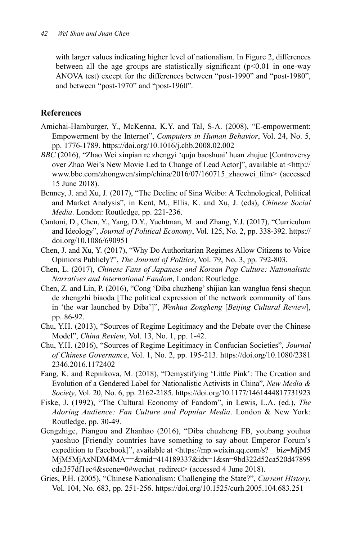with larger values indicating higher level of nationalism. In Figure 2, differences between all the age groups are statistically significant  $(p<0.01$  in one-way ANOVA test) except for the differences between "post-1990" and "post-1980", and between "post-1970" and "post-1960".

# **References**

- Amichai-Hamburger, Y., McKenna, K.Y. and Tal, S-A. (2008), "E-empowerment: Empowerment by the Internet", *Computers in Human Behavior*, Vol. 24, No. 5, pp. 1776-1789. https://doi.org/10.1016/j.chb.2008.02.002
- *BBC* (2016), "Zhao Wei xinpian re zhengyi 'quju baoshuai' huan zhujue [Controversy over Zhao Wei's New Movie Led to Change of Lead Actor]", available at <http:// www.bbc.com/zhongwen/simp/china/2016/07/160715\_zhaowei\_film> (accessed 15 June 2018).
- Benney, J. and Xu, J. (2017), "The Decline of Sina Weibo: A Technological, Political and Market Analysis", in Kent, M., Ellis, K. and Xu, J. (eds), *Chinese Social Media*. London: Routledge, pp. 221-236.
- Cantoni, D., Chen, Y., Yang, D.Y., Yuchtman, M. and Zhang, Y.J. (2017), "Curriculum and Ideology", *Journal of Political Economy*, Vol. 125, No. 2, pp. 338-392. https:// doi.org/10.1086/690951
- Chen, J. and Xu, Y. (2017), "Why Do Authoritarian Regimes Allow Citizens to Voice Opinions Publicly?", *The Journal of Politics*, Vol. 79, No. 3, pp. 792-803.
- Chen, L. (2017), *Chinese Fans of Japanese and Korean Pop Culture: Nationalistic Narratives and International Fandom*, London: Routledge.
- Chen, Z. and Lin, P. (2016), "Cong 'Diba chuzheng' shijian kan wangluo fensi shequn de zhengzhi biaoda [The political expression of the network community of fans in 'the war launched by Diba']", *Wenhua Zongheng* [*Beijing Cultural Review*], pp. 86-92.
- Chu, Y.H. (2013), "Sources of Regime Legitimacy and the Debate over the Chinese Model", *China Review*, Vol. 13, No. 1, pp. 1-42.
- Chu, Y.H. (2016), "Sources of Regime Legitimacy in Confucian Societies", *Journal of Chinese Governance*, Vol. 1, No. 2, pp. 195-213. https://doi.org/10.1080/2381 2346.2016.1172402
- Fang, K. and Repnikova, M. (2018), "Demystifying 'Little Pink': The Creation and Evolution of a Gendered Label for Nationalistic Activists in China", *New Media & Society*, Vol. 20, No. 6, pp. 2162-2185. https://doi.org/10.1177/1461444817731923
- Fiske, J. (1992), "The Cultural Economy of Fandom", in Lewis, L.A. (ed.), *The Adoring Audience: Fan Culture and Popular Media*. London & New York: Routledge, pp. 30-49.
- Gengzhige, Piangou and Zhanhao (2016), "Diba chuzheng FB, youbang youhua yaoshuo [Friendly countries have something to say about Emperor Forum's expedition to Facebook]", available at <https://mp.weixin.qq.com/s?\_\_biz=MjM5 MjM5MjAxNDM4MA==&mid=414189337&idx=1&sn=9bd322d52ca520d47899 cda357df1ec4&scene=0#wechat\_redirect> (accessed 4 June 2018).
- Gries, P.H. (2005), "Chinese Nationalism: Challenging the State?", *Current History*, Vol. 104, No. 683, pp. 251-256. https://doi.org/10.1525/curh.2005.104.683.251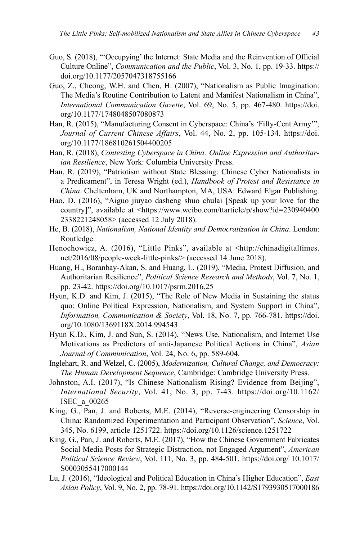- Guo, S. (2018), "'Occupying' the Internet: State Media and the Reinvention of Official Culture Online", *Communication and the Public*, Vol. 3, No. 1, pp. 19-33. https:// doi.org/10.1177/2057047318755166
- Guo, Z., Cheong, W.H. and Chen, H. (2007), "Nationalism as Public Imagination: The Media's Routine Contribution to Latent and Manifest Nationalism in China", *International Communication Gazette*, Vol. 69, No. 5, pp. 467-480. https://doi. org/10.1177/1748048507080873
- Han, R. (2015), "Manufacturing Consent in Cyberspace: China's 'Fifty-Cent Army'", *Journal of Current Chinese Affairs*, Vol. 44, No. 2, pp. 105-134. https://doi. org/10.1177/186810261504400205
- Han, R. (2018), *Contesting Cyberspace in China: Online Expression and Authoritarian Resilience*, New York: Columbia University Press.
- Han, R. (2019), "Patriotism without State Blessing: Chinese Cyber Nationalists in a Predicament", in Teresa Wright (ed.), *Handbook of Protest and Resistance in China*. Cheltenham, UK and Northampton, MA, USA: Edward Elgar Publishing.
- Hao, D. (2016), "Aiguo jiuyao dasheng shuo chulai [Speak up your love for the country]", available at <https://www.weibo.com/ttarticle/p/show?id=230940400 2338221248058> (accessed 12 July 2018).
- He, B. (2018), *Nationalism, National Identity and Democratization in China*. London: Routledge.
- Henochowicz, A. (2016), "Little Pinks", available at <http://chinadigitaltimes. net/2016/08/people-week-little-pinks/> (accessed 14 June 2018).
- Huang, H., Boranbay-Akan, S. and Huang, L. (2019), "Media, Protest Diffusion, and Authoritarian Resilience", *Political Science Research and Methods*, Vol. 7, No. 1, pp. 23-42. https://doi.org/10.1017/psrm.2016.25
- Hyun, K.D. and Kim, J. (2015), "The Role of New Media in Sustaining the status quo: Online Political Expression, Nationalism, and System Support in China", *Information, Communication & Society*, Vol. 18, No. 7, pp. 766-781. https://doi. org/10.1080/1369118X.2014.994543
- Hyun K.D., Kim, J. and Sun, S. (2014), "News Use, Nationalism, and Internet Use Motivations as Predictors of anti-Japanese Political Actions in China", *Asian Journal of Communication*, Vol. 24, No. 6, pp. 589-604.
- Inglehart, R. and Welzel, C. (2005), *Modernization, Cultural Change, and Democracy: The Human Development Sequence*, Cambridge: Cambridge University Press.
- Johnston, A.I. (2017), "Is Chinese Nationalism Rising? Evidence from Beijing", *International Security*, Vol. 41, No. 3, pp. 7-43. https://doi.org/10.1162/ ISEC\_a\_00265
- King, G., Pan, J. and Roberts, M.E. (2014), "Reverse-engineering Censorship in China: Randomized Experimentation and Participant Observation", *Science*, Vol. 345, No. 6199, article 1251722. https://doi.org/10.1126/science.1251722
- King, G., Pan, J. and Roberts, M.E. (2017), "How the Chinese Government Fabricates Social Media Posts for Strategic Distraction, not Engaged Argument", *American Political Science Review*, Vol. 111, No. 3, pp. 484-501. https://doi.org/ 10.1017/ S0003055417000144
- Lu, J. (2016), "Ideological and Political Education in China's Higher Education", *East Asian Policy*, Vol. 9, No. 2, pp. 78-91. https://doi.org/10.1142/S1793930517000186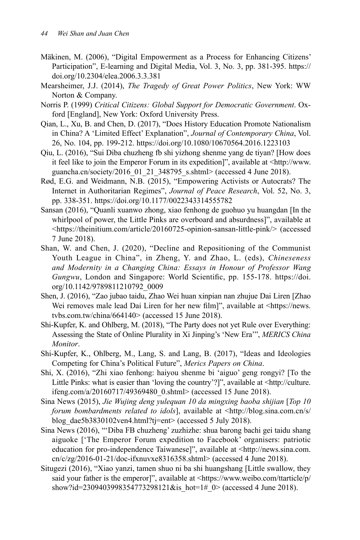- Mäkinen, M. (2006), "Digital Empowerment as a Process for Enhancing Citizens' Participation", E-learning and Digital Media, Vol. 3, No. 3, pp. 381-395. https:// doi.org/10.2304/elea.2006.3.3.381
- Mearsheimer, J.J. (2014), *The Tragedy of Great Power Politics*, New York: WW Norton & Company.
- Norris P. (1999) *Critical Citizens: Global Support for Democratic Government*. Oxford [England], New York: Oxford University Press.
- Qian, L., Xu, B. and Chen, D. (2017), "Does History Education Promote Nationalism in China? A 'Limited Effect' Explanation", *Journal of Contemporary China*, Vol. 26, No. 104, pp. 199-212. https://doi.org/10.1080/10670564.2016.1223103
- Qiu, L. (2016), "Sui Diba chuzheng fb shi yizhong shenme yang de tiyan? [How does it feel like to join the Emperor Forum in its expedition]", available at <http://www. guancha.cn/society/2016\_01\_21\_348795\_s.shtml> (accessed 4 June 2018).
- Rød, E.G. and Weidmann, N.B. (2015), "Empowering Activists or Autocrats? The Internet in Authoritarian Regimes", *Journal of Peace Research*, Vol. 52, No. 3, pp. 338-351. https://doi.org/10.1177/0022343314555782
- Sansan (2016), "Quanli xuanwo zhong, xiao fenhong de guohuo yu huangdan [In the whirlpool of power, the Little Pinks are overboard and absurdness]", available at <https://theinitium.com/article/20160725-opinion-sansan-little-pink/> (accessed 7 June 2018).
- Shan, W. and Chen, J. (2020), "Decline and Repositioning of the Communist Youth League in China", in Zheng, Y. and Zhao, L. (eds), *Chineseness and Modernity in a Changing China: Essays in Honour of Professor Wang Gungwu*, London and Singapore: World Scientific, pp. 155-178. https://doi. org/10.1142/9789811210792\_0009
- Shen, J. (2016), "Zao jubao taidu, Zhao Wei huan xinpian nan zhujue Dai Liren [Zhao Wei removes male lead Dai Liren for her new film]", available at <https://news. tvbs.com.tw/china/664140> (accessed 15 June 2018).
- Shi-Kupfer, K. and Ohlberg, M. (2018), "The Party does not yet Rule over Everything: Assessing the State of Online Plurality in Xi Jinping's 'New Era'", *MERICS China Monitor*.
- Shi-Kupfer, K., Ohlberg, M., Lang, S. and Lang, B. (2017), "Ideas and Ideologies Competing for China's Political Future", *Merics Papers on China*.
- Shi, X. (2016), "Zhi xiao fenhong: haiyou shenme bi 'aiguo' geng rongyi? [To the Little Pinks: what is easier than 'loving the country'?]", available at <http://culture. ifeng.com/a/20160717/49369480\_0.shtml> (accessed 15 June 2018).
- Sina News (2015), *Jie Wujing deng yulequan 10 da mingxing baoba shijian* [*Top 10 forum bombardments related to idols*], available at <http://blog.sina.com.cn/s/ blog\_dae5b3830102ven4.html?tj=ent> (accessed 5 July 2018).
- Sina News (2016), "'Diba FB chuzheng' zuzhizhe: shua barong bachi gei taidu shang aiguoke ['The Emperor Forum expedition to Facebook' organisers: patriotic education for pro-independence Taiwanese]", available at <http://news.sina.com. cn/c/zg/2016-01-21/doc-ifxnuvxe8316358.shtml> (accessed 4 June 2018).
- Situgezi (2016), "Xiao yanzi, tamen shuo ni ba shi huangshang [Little swallow, they said your father is the emperor]", available at <https://www.weibo.com/ttarticle/p/ show?id=2309403998354773298121&is\_hot=1#\_0> (accessed 4 June 2018).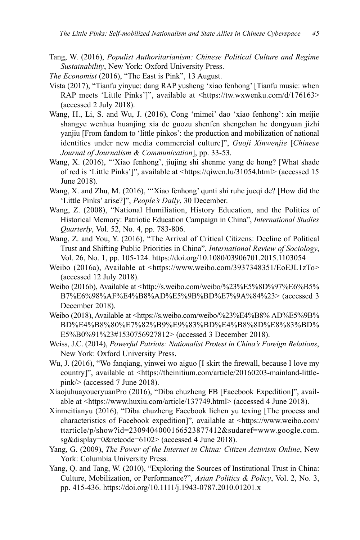Tang, W. (2016), *Populist Authoritarianism: Chinese Political Culture and Regime Sustainability*, New York: Oxford University Press.

*The Economist* (2016), "The East is Pink", 13 August.

- Vista (2017), "Tianfu yinyue: dang RAP yusheng 'xiao fenhong' [Tianfu music: when RAP meets 'Little Pinks']", available at <https://tw.wxwenku.com/d/176163> (accessed 2 July 2018).
- Wang, H., Li, S. and Wu, J. (2016), Cong 'mimei' dao 'xiao fenhong': xin meijie shangye wenhua huanjing xia de guozu shenfen shengchan he dongyuan jizhi yanjiu [From fandom to 'little pinkos': the production and mobilization of national identities under new media commercial culture]", *Guoji Xinwenjie* [*Chinese Journal of Journalism & Communication*], pp. 33-53.
- Wang, X. (2016), "'Xiao fenhong', jiujing shi shenme yang de hong? [What shade of red is 'Little Pinks']", available at <https://qiwen.lu/31054.html> (accessed 15 June 2018).
- Wang, X. and Zhu, M. (2016), "'Xiao fenhong' qunti shi ruhe jueqi de? [How did the 'Little Pinks' arise?]", *People's Daily*, 30 December.
- Wang, Z. (2008), "National Humiliation, History Education, and the Politics of Historical Memory: Patriotic Education Campaign in China", *International Studies Quarterly*, Vol. 52, No. 4, pp. 783-806.
- Wang, Z. and You, Y. (2016), "The Arrival of Critical Citizens: Decline of Political Trust and Shifting Public Priorities in China", *International Review of Sociology*, Vol. 26, No. 1, pp. 105-124. https://doi.org/10.1080/03906701.2015.1103054
- Weibo (2016a), Available at <https://www.weibo.com/3937348351/EoEJL1zTo> (accessed 12 July 2018).
- Weibo (2016b), Available at <http://s.weibo.com/weibo/%23%E5%8D%97%E6%B5% B7%E6%98%AF%E4%B8%AD%E5%9B%BD%E7%9A%84%23> (accessed 3 December 2018).
- Weibo (2018), Available at <https://s.weibo.com/weibo/%23%E4%B8% AD%E5%9B% BD%E4%B8%80%E7%82%B9%E9%83%BD%E4%B8%8D%E8%83%BD% E5%B0%91%23#1530756927812> (accessed 3 December 2018).
- Weiss, J.C. (2014), *Powerful Patriots: Nationalist Protest in China's Foreign Relations*, New York: Oxford University Press.
- Wu, J. (2016), "Wo fanqiang, yinwei wo aiguo [I skirt the firewall, because I love my country]", available at <https://theinitium.com/article/20160203-mainland-littlepink/> (accessed 7 June 2018).
- XiaojuhuayoueryuanPro (2016), "Diba chuzheng FB [Facebook Expedition]", available at <https://www.huxiu.com/article/137749.html> (accessed 4 June 2018).
- Xinmeitianyu (2016), "Diba chuzheng Facebook lichen yu texing [The process and characteristics of Facebook expedition]", available at <https://www.weibo.com/ ttarticle/p/show?id=2309404000166523877412&sudaref=www.google.com. sg&display=0&retcode=6102> (accessed 4 June 2018).
- Yang, G. (2009), *The Power of the Internet in China: Citizen Activism Online*, New York: Columbia University Press.
- Yang, Q. and Tang, W. (2010), "Exploring the Sources of Institutional Trust in China: Culture, Mobilization, or Performance?", *Asian Politics & Policy*, Vol. 2, No. 3, pp. 415-436. https://doi.org/10.1111/j.1943-0787.2010.01201.x